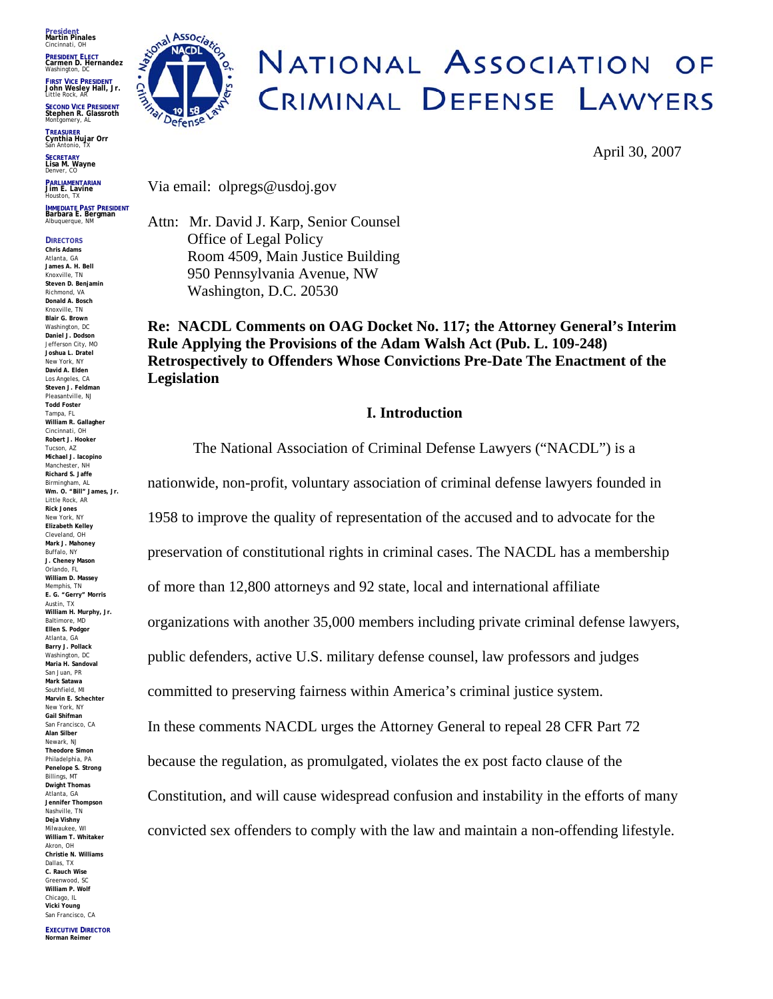**President Martin Pinales** Cincinnati, OH

**PRESIDENT ELECT Carmen D. Hernandez** Washington, DC

**FIRST VICE PRESIDENT John Wesley Hall, Jr.** Little Rock, AR

**SECOND VICE PRESIDENT Stephen R. Glassroth**  Montgomery, AL

**TREASURER Cynthia Hujar Orr**  San Antonio, TX

**SECRETARY Lisa M. Wayne**  Denver, CO

**PARLIAMENTARIAN Jim E. Lavine** Houston, TX

**IMMEDIATE PAST PRESIDENT Barbara E. Bergman**  Albuquerque, NM

**DIRECTORS Chris Adams** Atlanta, GA **James A. H. Bell**  Knoxville, TN **Steven D. Benjamin** Richmond, VA **Donald A. Bosch** Knoxville, TN **Blair G. Brown** Washington, DC **Daniel J. Dodson** Jefferson City, MO **Joshua L. Dratel** New York, NY **David A. Elden** Los Angeles, CA **Steven J. Feldman** Pleasantville, NJ **Todd Foster** Tampa, FL **William R. Gallagher** Cincinnati, OH **Robert J. Hooker** Tucson, AZ **Michael J. Iacopino** Manchester, NH **Richard S. Jaffe** Birmingham, AL **Wm. O. "Bill" James, Jr.** Little Rock, AR **Rick Jones** New York, NY **Elizabeth Kelley** Cleveland, OH **Mark J. Mahoney**  Buffalo, NY **J. Cheney Mason** Orlando, FL **William D. Massey** Memphis, TN **E. G. "Gerry" Morris**  Austin, TX **William H. Murphy, Jr.** Baltimore, MD **Ellen S. Podgor**  Atlanta, GA **Barry J. Pollack**  Washington, DC **Maria H. Sandoval**  San Juan, PR **Mark Satawa**  Southfield, MI **Marvin E. Schechter**  New York, NY **Gail Shifman**  San Francisco, CA **Alan Silber**  Newark, NJ **Theodore Simon**  Philadelphia, PA **Penelope S. Strong** Billings, MT **Dwight Thomas** Atlanta, GA **Jennifer Thompson**  Nashville, TN **Deja Vishny**  Milwaukee, WI **William T. Whitaker**  Akron, OH **Christie N. Williams** Dallas, TX **C. Rauch Wise**  Greenwood, SC **William P. Wolf** Chicago, IL **Vicki Young** San Francisco, CA



# NATIONAL ASSOCIATION OF CRIMINAL DEFENSE LAWYERS

April 30, 2007

Via email: olpregs@usdoj.gov

Attn: Mr. David J. Karp, Senior Counsel Office of Legal Policy Room 4509, Main Justice Building 950 Pennsylvania Avenue, NW Washington, D.C. 20530

**Re: NACDL Comments on OAG Docket No. 117; the Attorney General's Interim Rule Applying the Provisions of the Adam Walsh Act (Pub. L. 109-248) Retrospectively to Offenders Whose Convictions Pre-Date The Enactment of the Legislation**

## **I. Introduction**

The National Association of Criminal Defense Lawyers ("NACDL") is a nationwide, non-profit, voluntary association of criminal defense lawyers founded in 1958 to improve the quality of representation of the accused and to advocate for the preservation of constitutional rights in criminal cases. The NACDL has a membership of more than 12,800 attorneys and 92 state, local and international affiliate organizations with another 35,000 members including private criminal defense lawyers, public defenders, active U.S. military defense counsel, law professors and judges committed to preserving fairness within America's criminal justice system. In these comments NACDL urges the Attorney General to repeal 28 CFR Part 72 because the regulation, as promulgated, violates the ex post facto clause of the Constitution, and will cause widespread confusion and instability in the efforts of many convicted sex offenders to comply with the law and maintain a non-offending lifestyle.

**EXECUTIVE DIRECTOR Norman Reimer**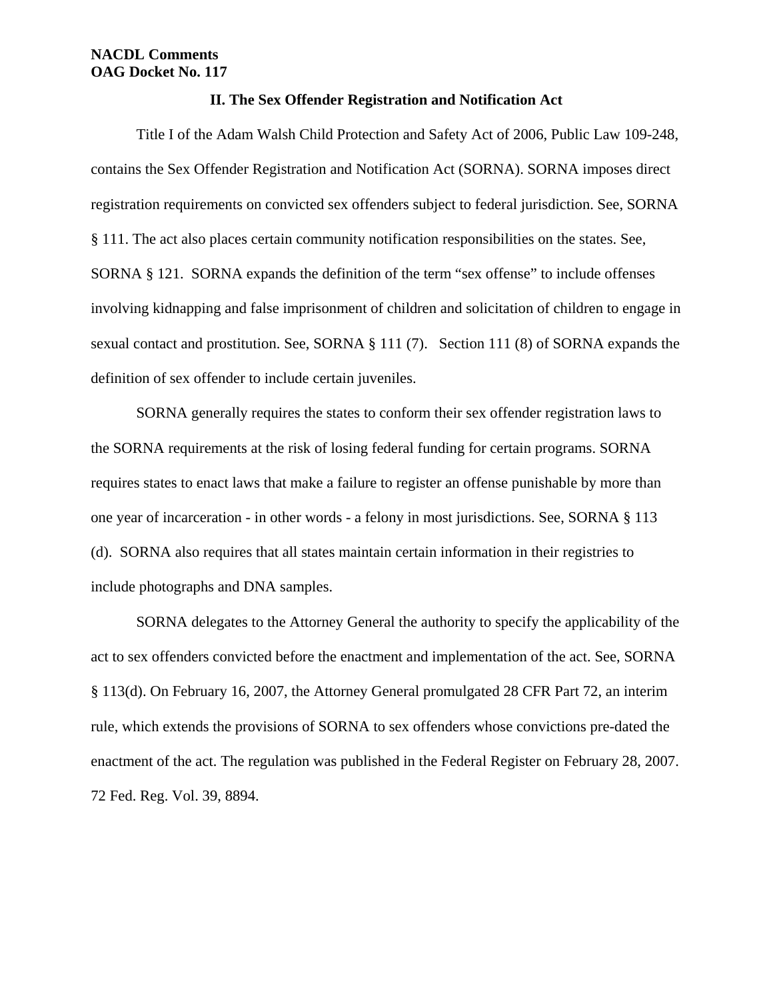#### **II. The Sex Offender Registration and Notification Act**

Title I of the Adam Walsh Child Protection and Safety Act of 2006, Public Law 109-248, contains the Sex Offender Registration and Notification Act (SORNA). SORNA imposes direct registration requirements on convicted sex offenders subject to federal jurisdiction. See, SORNA § 111. The act also places certain community notification responsibilities on the states. See, SORNA § 121. SORNA expands the definition of the term "sex offense" to include offenses involving kidnapping and false imprisonment of children and solicitation of children to engage in sexual contact and prostitution. See, SORNA § 111 (7). Section 111 (8) of SORNA expands the definition of sex offender to include certain juveniles.

SORNA generally requires the states to conform their sex offender registration laws to the SORNA requirements at the risk of losing federal funding for certain programs. SORNA requires states to enact laws that make a failure to register an offense punishable by more than one year of incarceration - in other words - a felony in most jurisdictions. See, SORNA § 113 (d). SORNA also requires that all states maintain certain information in their registries to include photographs and DNA samples.

SORNA delegates to the Attorney General the authority to specify the applicability of the act to sex offenders convicted before the enactment and implementation of the act. See, SORNA § 113(d). On February 16, 2007, the Attorney General promulgated 28 CFR Part 72, an interim rule, which extends the provisions of SORNA to sex offenders whose convictions pre-dated the enactment of the act. The regulation was published in the Federal Register on February 28, 2007. 72 Fed. Reg. Vol. 39, 8894.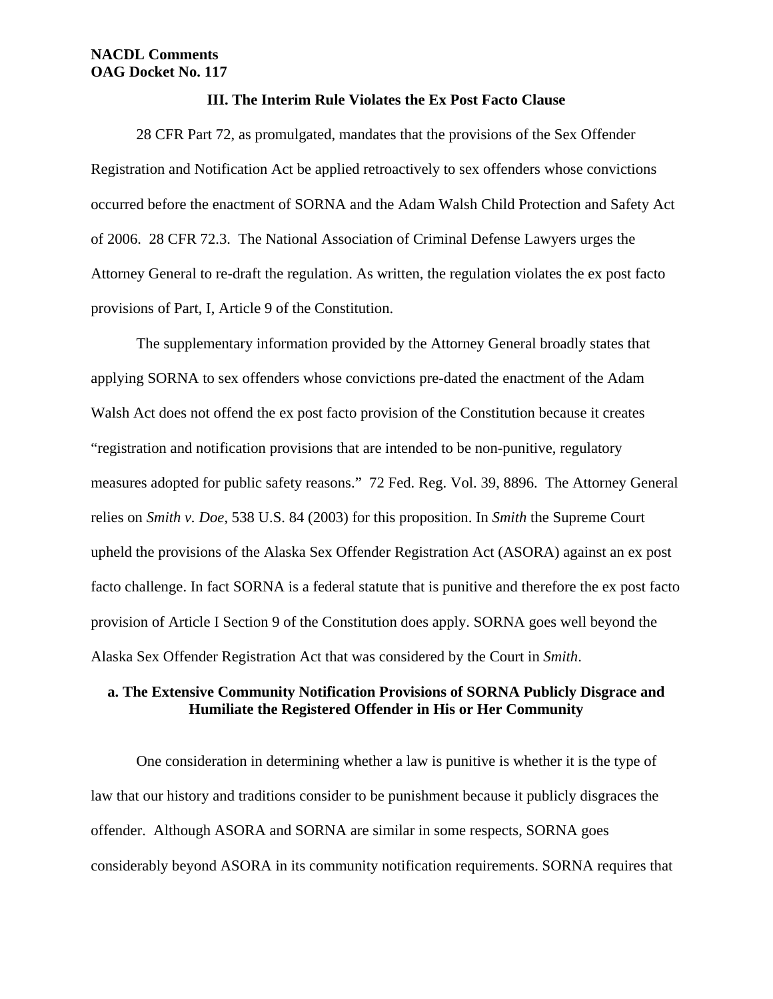#### **III. The Interim Rule Violates the Ex Post Facto Clause**

28 CFR Part 72, as promulgated, mandates that the provisions of the Sex Offender Registration and Notification Act be applied retroactively to sex offenders whose convictions occurred before the enactment of SORNA and the Adam Walsh Child Protection and Safety Act of 2006. 28 CFR 72.3. The National Association of Criminal Defense Lawyers urges the Attorney General to re-draft the regulation. As written, the regulation violates the ex post facto provisions of Part, I, Article 9 of the Constitution.

The supplementary information provided by the Attorney General broadly states that applying SORNA to sex offenders whose convictions pre-dated the enactment of the Adam Walsh Act does not offend the ex post facto provision of the Constitution because it creates "registration and notification provisions that are intended to be non-punitive, regulatory measures adopted for public safety reasons." 72 Fed. Reg. Vol. 39, 8896. The Attorney General relies on *Smith v. Doe*, 538 U.S. 84 (2003) for this proposition. In *Smith* the Supreme Court upheld the provisions of the Alaska Sex Offender Registration Act (ASORA) against an ex post facto challenge. In fact SORNA is a federal statute that is punitive and therefore the ex post facto provision of Article I Section 9 of the Constitution does apply. SORNA goes well beyond the Alaska Sex Offender Registration Act that was considered by the Court in *Smith*.

## **a. The Extensive Community Notification Provisions of SORNA Publicly Disgrace and Humiliate the Registered Offender in His or Her Community**

One consideration in determining whether a law is punitive is whether it is the type of law that our history and traditions consider to be punishment because it publicly disgraces the offender. Although ASORA and SORNA are similar in some respects, SORNA goes considerably beyond ASORA in its community notification requirements. SORNA requires that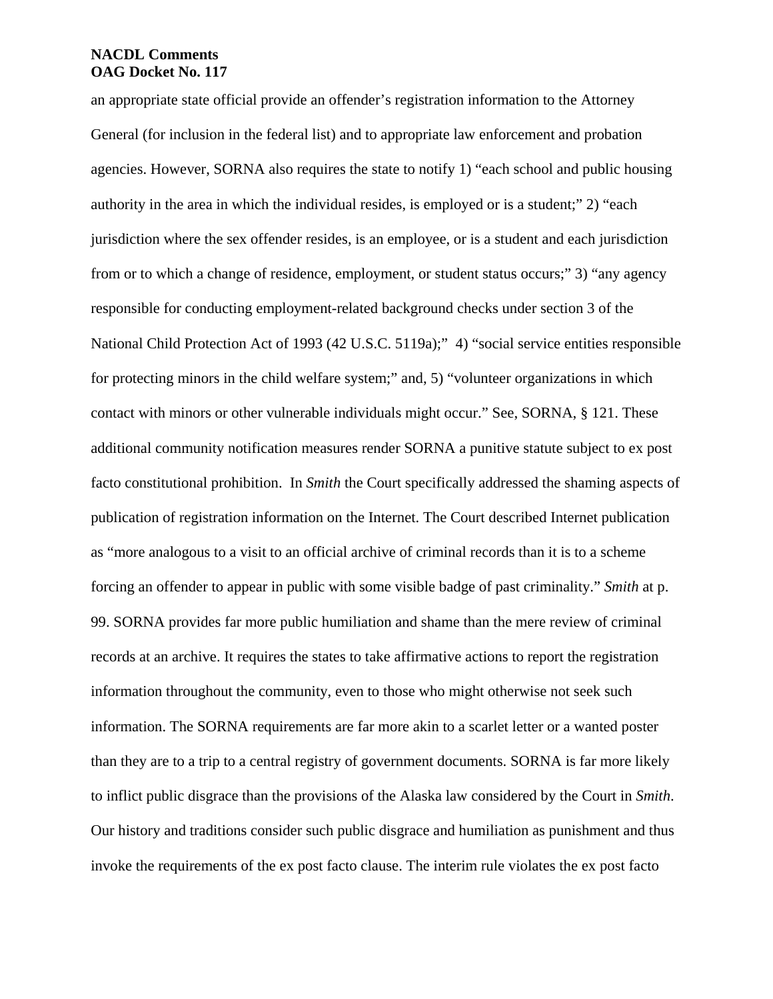an appropriate state official provide an offender's registration information to the Attorney General (for inclusion in the federal list) and to appropriate law enforcement and probation agencies. However, SORNA also requires the state to notify 1) "each school and public housing authority in the area in which the individual resides, is employed or is a student;" 2) "each jurisdiction where the sex offender resides, is an employee, or is a student and each jurisdiction from or to which a change of residence, employment, or student status occurs;" 3) "any agency responsible for conducting employment-related background checks under section 3 of the National Child Protection Act of 1993 (42 U.S.C. 5119a);" 4) "social service entities responsible for protecting minors in the child welfare system;" and, 5) "volunteer organizations in which contact with minors or other vulnerable individuals might occur." See, SORNA, § 121. These additional community notification measures render SORNA a punitive statute subject to ex post facto constitutional prohibition. In *Smith* the Court specifically addressed the shaming aspects of publication of registration information on the Internet. The Court described Internet publication as "more analogous to a visit to an official archive of criminal records than it is to a scheme forcing an offender to appear in public with some visible badge of past criminality." *Smith* at p. 99. SORNA provides far more public humiliation and shame than the mere review of criminal records at an archive. It requires the states to take affirmative actions to report the registration information throughout the community, even to those who might otherwise not seek such information. The SORNA requirements are far more akin to a scarlet letter or a wanted poster than they are to a trip to a central registry of government documents. SORNA is far more likely to inflict public disgrace than the provisions of the Alaska law considered by the Court in *Smith*. Our history and traditions consider such public disgrace and humiliation as punishment and thus invoke the requirements of the ex post facto clause. The interim rule violates the ex post facto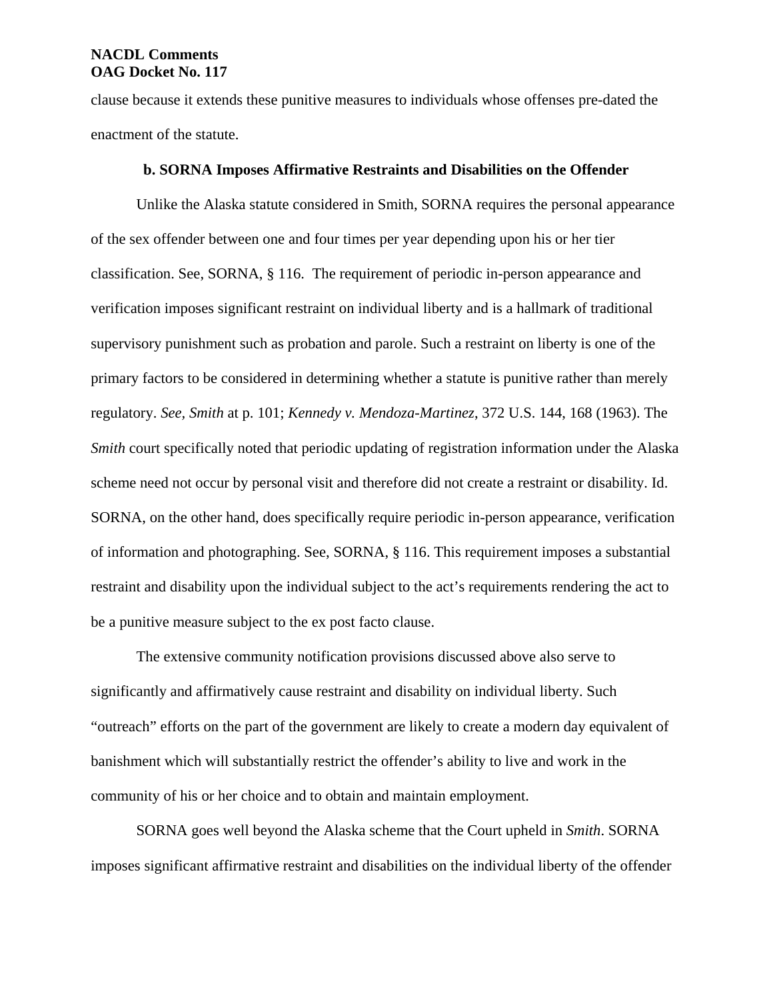clause because it extends these punitive measures to individuals whose offenses pre-dated the enactment of the statute.

#### **b. SORNA Imposes Affirmative Restraints and Disabilities on the Offender**

Unlike the Alaska statute considered in Smith, SORNA requires the personal appearance of the sex offender between one and four times per year depending upon his or her tier classification. See, SORNA, § 116. The requirement of periodic in-person appearance and verification imposes significant restraint on individual liberty and is a hallmark of traditional supervisory punishment such as probation and parole. Such a restraint on liberty is one of the primary factors to be considered in determining whether a statute is punitive rather than merely regulatory. *See, Smith* at p. 101; *Kennedy v. Mendoza-Martinez*, 372 U.S. 144, 168 (1963). The *Smith* court specifically noted that periodic updating of registration information under the Alaska scheme need not occur by personal visit and therefore did not create a restraint or disability. Id. SORNA, on the other hand, does specifically require periodic in-person appearance, verification of information and photographing. See, SORNA, § 116. This requirement imposes a substantial restraint and disability upon the individual subject to the act's requirements rendering the act to be a punitive measure subject to the ex post facto clause.

The extensive community notification provisions discussed above also serve to significantly and affirmatively cause restraint and disability on individual liberty. Such "outreach" efforts on the part of the government are likely to create a modern day equivalent of banishment which will substantially restrict the offender's ability to live and work in the community of his or her choice and to obtain and maintain employment.

SORNA goes well beyond the Alaska scheme that the Court upheld in *Smith*. SORNA imposes significant affirmative restraint and disabilities on the individual liberty of the offender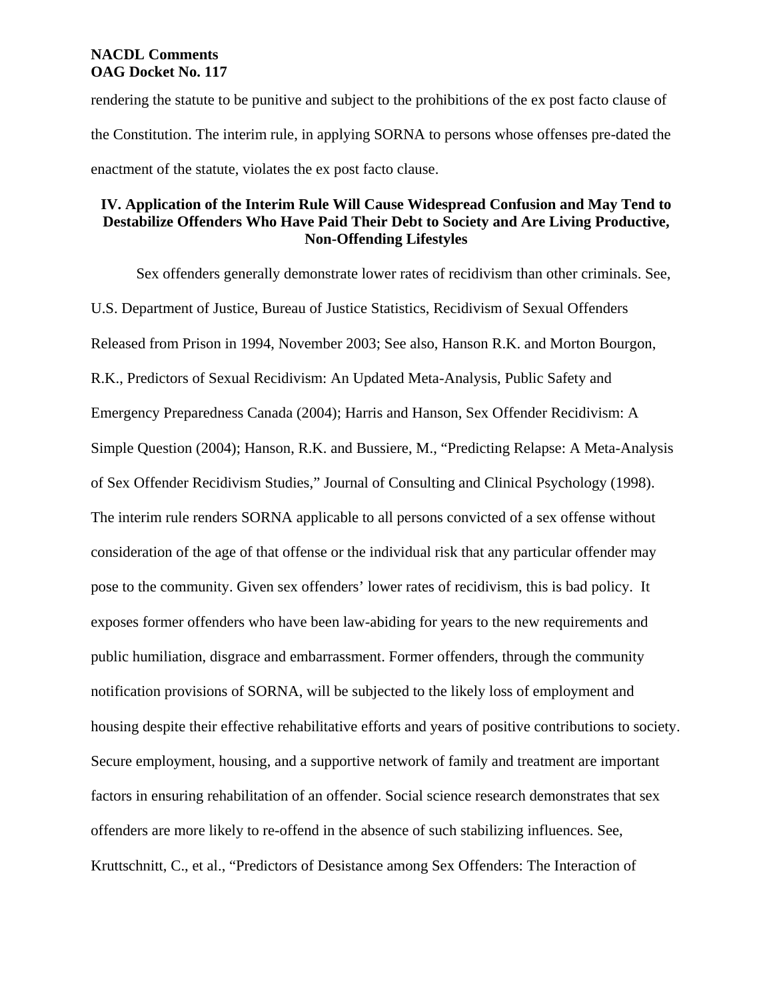rendering the statute to be punitive and subject to the prohibitions of the ex post facto clause of the Constitution. The interim rule, in applying SORNA to persons whose offenses pre-dated the enactment of the statute, violates the ex post facto clause.

## **IV. Application of the Interim Rule Will Cause Widespread Confusion and May Tend to Destabilize Offenders Who Have Paid Their Debt to Society and Are Living Productive, Non-Offending Lifestyles**

Sex offenders generally demonstrate lower rates of recidivism than other criminals. See, U.S. Department of Justice, Bureau of Justice Statistics, Recidivism of Sexual Offenders Released from Prison in 1994, November 2003; See also, Hanson R.K. and Morton Bourgon, R.K., Predictors of Sexual Recidivism: An Updated Meta-Analysis, Public Safety and Emergency Preparedness Canada (2004); Harris and Hanson, Sex Offender Recidivism: A Simple Question (2004); Hanson, R.K. and Bussiere, M., "Predicting Relapse: A Meta-Analysis of Sex Offender Recidivism Studies," Journal of Consulting and Clinical Psychology (1998). The interim rule renders SORNA applicable to all persons convicted of a sex offense without consideration of the age of that offense or the individual risk that any particular offender may pose to the community. Given sex offenders' lower rates of recidivism, this is bad policy. It exposes former offenders who have been law-abiding for years to the new requirements and public humiliation, disgrace and embarrassment. Former offenders, through the community notification provisions of SORNA, will be subjected to the likely loss of employment and housing despite their effective rehabilitative efforts and years of positive contributions to society. Secure employment, housing, and a supportive network of family and treatment are important factors in ensuring rehabilitation of an offender. Social science research demonstrates that sex offenders are more likely to re-offend in the absence of such stabilizing influences. See, Kruttschnitt, C., et al., "Predictors of Desistance among Sex Offenders: The Interaction of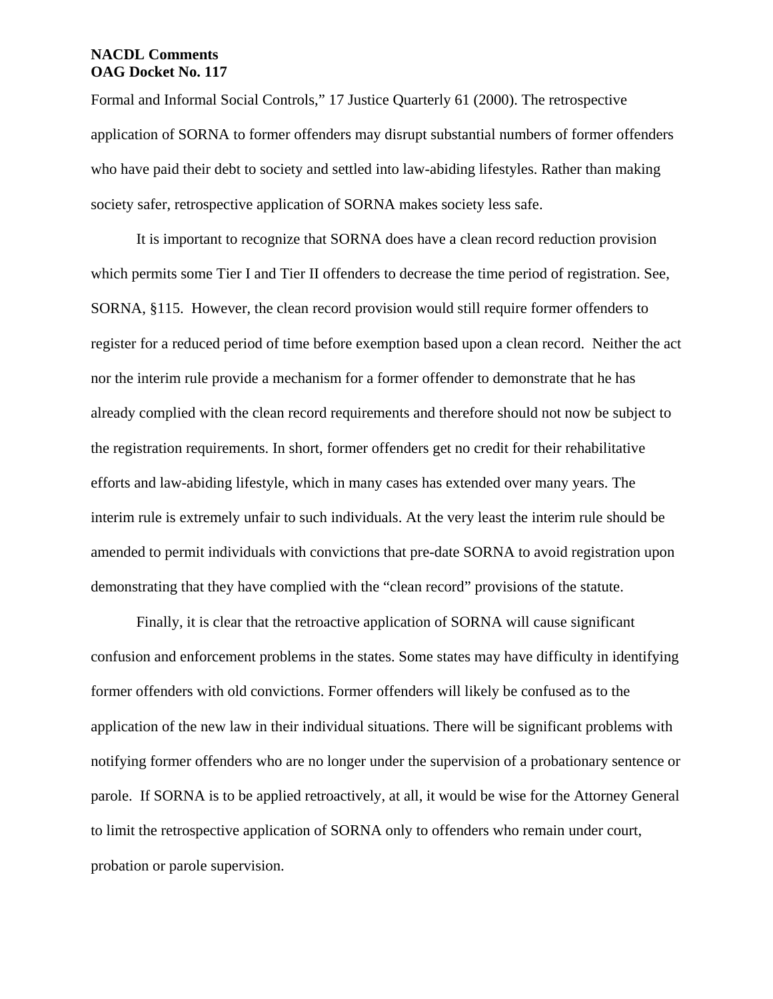Formal and Informal Social Controls," 17 Justice Quarterly 61 (2000). The retrospective application of SORNA to former offenders may disrupt substantial numbers of former offenders who have paid their debt to society and settled into law-abiding lifestyles. Rather than making society safer, retrospective application of SORNA makes society less safe.

It is important to recognize that SORNA does have a clean record reduction provision which permits some Tier I and Tier II offenders to decrease the time period of registration. See, SORNA, §115. However, the clean record provision would still require former offenders to register for a reduced period of time before exemption based upon a clean record. Neither the act nor the interim rule provide a mechanism for a former offender to demonstrate that he has already complied with the clean record requirements and therefore should not now be subject to the registration requirements. In short, former offenders get no credit for their rehabilitative efforts and law-abiding lifestyle, which in many cases has extended over many years. The interim rule is extremely unfair to such individuals. At the very least the interim rule should be amended to permit individuals with convictions that pre-date SORNA to avoid registration upon demonstrating that they have complied with the "clean record" provisions of the statute.

Finally, it is clear that the retroactive application of SORNA will cause significant confusion and enforcement problems in the states. Some states may have difficulty in identifying former offenders with old convictions. Former offenders will likely be confused as to the application of the new law in their individual situations. There will be significant problems with notifying former offenders who are no longer under the supervision of a probationary sentence or parole. If SORNA is to be applied retroactively, at all, it would be wise for the Attorney General to limit the retrospective application of SORNA only to offenders who remain under court, probation or parole supervision.